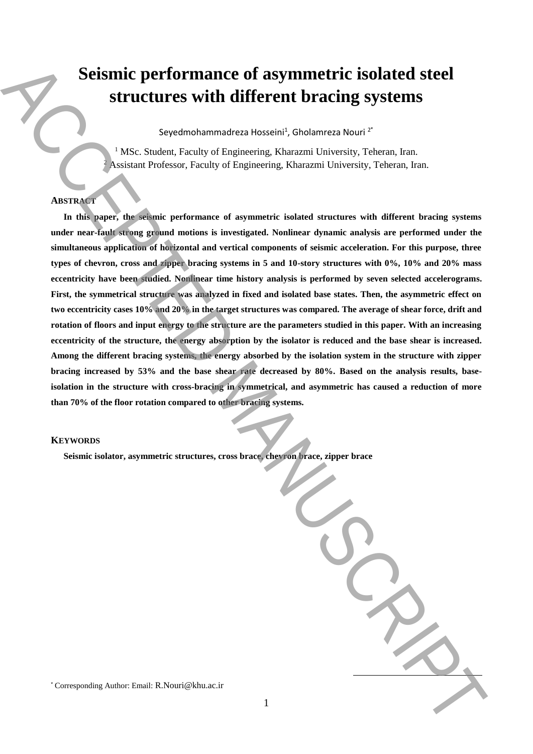# **Seismic performance of asymmetric isolated steel structures with different bracing systems**

Seyedmohammadreza Hosseini<sup>1</sup>, Gholamreza Nouri<sup>2\*</sup>

<sup>1</sup> MSc. Student, Faculty of Engineering, Kharazmi University, Teheran, Iran. <sup>2</sup> Assistant Professor, Faculty of Engineering, Kharazmi University, Teheran, Iran.

# **ABSTRACT**

**In this paper, the seismic performance of asymmetric isolated structures with different bracing systems under near-fault strong ground motions is investigated. Nonlinear dynamic analysis are performed under the simultaneous application of horizontal and vertical components of seismic acceleration. For this purpose, three types of chevron, cross and zipper bracing systems in 5 and 10-story structures with 0%, 10% and 20% mass eccentricity have been studied. Nonlinear time history analysis is performed by seven selected accelerograms. First, the symmetrical structure was analyzed in fixed and isolated base states. Then, the asymmetric effect on two eccentricity cases 10% and 20% in the target structures was compared. The average of shear force, drift and rotation of floors and input energy to the structure are the parameters studied in this paper. With an increasing eccentricity of the structure, the energy absorption by the isolator is reduced and the base shear is increased. Among the different bracing systems, the energy absorbed by the isolation system in the structure with zipper bracing increased by 53% and the base shear rate decreased by 80%. Based on the analysis results, baseisolation in the structure with cross-bracing in symmetrical, and asymmetric has caused a reduction of more than 70% of the floor rotation compared to other bracing systems.** Seismic performance of asymmetric isolated steel<br>structures with different bracing systems<br>structures structures with different bracing systems<br>structures  $\frac{1}{2}$ . Also, Sandar Ecological Registration, Khunan University

# **KEYWORDS**

**Seismic isolator, asymmetric structures, cross brace, chevron brace, zipper brace**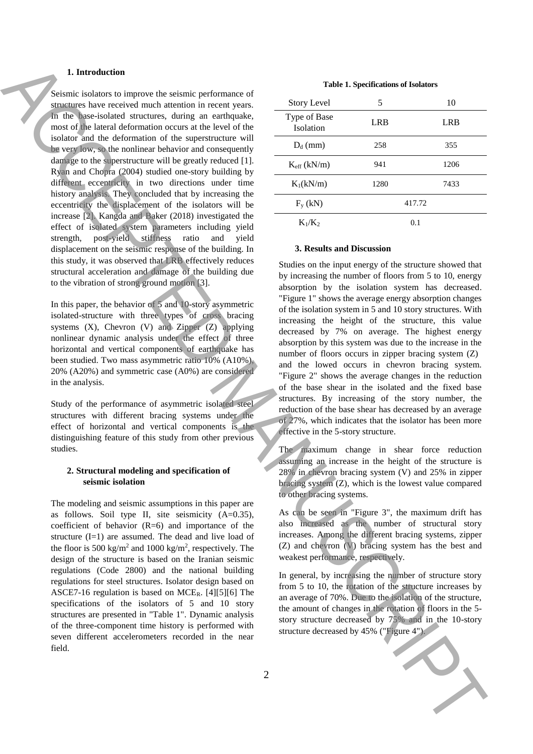# **1. Introduction**

Seismic isolators to improve the seismic performance of structures have received much attention in recent years. In the base-isolated structures, during an earthquake, most of the lateral deformation occurs at the level of the isolator and the deformation of the superstructure will be very low, so the nonlinear behavior and consequently damage to the superstructure will be greatly reduced [1]. Ryan and Chopra (2004) studied one-story building by different eccentricity in two directions under time history analysis. They concluded that by increasing the eccentricity the displacement of the isolators will be increase [2]. Kangda and Baker (2018) investigated the effect of isolated system parameters including yield strength, post-yield stiffness ratio and yield displacement on the seismic response of the building. In this study, it was observed that LRB effectively reduces structural acceleration and damage of the building due to the vibration of strong ground motion [3]. **1.** Internetion the number of each control in the structure of the structure of the structure of the structure of the structure of the structure of the structure of the structure of the structure of the structure of the

In this paper, the behavior of 5 and 10-story asymmetric isolated-structure with three types of cross bracing systems  $(X)$ , Chevron  $(V)$  and Zipper  $(Z)$  applying nonlinear dynamic analysis under the effect of three horizontal and vertical components of earthquake has been studied. Two mass asymmetric ratio 10% (A10%), 20% (A20%) and symmetric case (A0%) are considered in the analysis.

Study of the performance of asymmetric isolated steel structures with different bracing systems under the effect of horizontal and vertical components is the distinguishing feature of this study from other previous studies.

# **2. Structural modeling and specification of seismic isolation**

The modeling and seismic assumptions in this paper are as follows. Soil type II, site seismicity (A=0.35), coefficient of behavior  $(R=6)$  and importance of the structure (I=1) are assumed. The dead and live load of the floor is 500 kg/m<sup>2</sup> and 1000 kg/m<sup>2</sup>, respectively. The design of the structure is based on the Iranian seismic regulations (Code 2800) and the national building regulations for steel structures. Isolator design based on ASCE7-16 regulation is based on MCER. [4][5][6] The specifications of the isolators of 5 and 10 story structures are presented in "Table 1". Dynamic analysis of the three-component time history is performed with seven different accelerometers recorded in the near field.

#### **Table 1. Specifications of Isolators**

| <b>Story Level</b>               | 5      | 10   |
|----------------------------------|--------|------|
| Type of Base<br><b>Isolation</b> | LRB    | LRB  |
| $D_d$ (mm)                       | 258    | 355  |
| $K_{\rm eff}$ (kN/m)             | 941    | 1206 |
| $K_1(kN/m)$                      | 1280   | 7433 |
| $F_{v}$ (kN)                     | 417.72 |      |
| $K_1/K_2$                        | 0.1    |      |

## **3. Results and Discussion**

Studies on the input energy of the structure showed that by increasing the number of floors from 5 to 10, energy absorption by the isolation system has decreased. "Figure 1" shows the average energy absorption changes of the isolation system in 5 and 10 story structures. With increasing the height of the structure, this value decreased by 7% on average. The highest energy absorption by this system was due to the increase in the number of floors occurs in zipper bracing system (Z) and the lowed occurs in chevron bracing system. "Figure 2" shows the average changes in the reduction of the base shear in the isolated and the fixed base structures. By increasing of the story number, the reduction of the base shear has decreased by an average of 27%, which indicates that the isolator has been more effective in the 5-story structure.

The maximum change in shear force reduction assuming an increase in the height of the structure is 28% in chevron bracing system (V) and 25% in zipper bracing system (Z), which is the lowest value compared to other bracing systems.

As can be seen in "Figure 3", the maximum drift has also increased as the number of structural story increases. Among the different bracing systems, zipper (Z) and chevron (V) bracing system has the best and weakest performance, respectively.

In general, by increasing the number of structure story from 5 to 10, the rotation of the structure increases by an average of 70%. Due to the isolation of the structure, the amount of changes in the rotation of floors in the 5 story structure decreased by 75% and in the 10-story

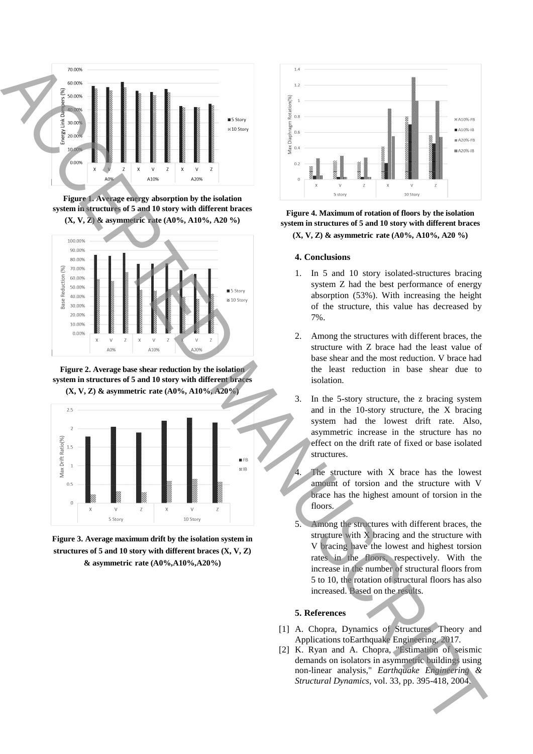

**Figure 1. Average energy absorption by the isolation system in structures of 5 and 10 story with different braces (X, V, Z) & asymmetric rate (A0%, A10%, A20 %)**



**Figure 2. Average base shear reduction by the isolation system in structures of 5 and 10 story with different braces (X, V, Z) & asymmetric rate (A0%, A10%, A20%)**



**Figure 3. Average maximum drift by the isolation system in structures of 5 and 10 story with different braces (X, V, Z) & asymmetric rate (A0%,A10%,A20%)**



# **Figure 4. Maximum of rotation of floors by the isolation system in structures of 5 and 10 story with different braces (X, V, Z) & asymmetric rate (A0%, A10%, A20 %)**

## **4. Conclusions**

- 1. In 5 and 10 story isolated-structures bracing system Z had the best performance of energy absorption (53%). With increasing the height of the structure, this value has decreased by 7%.
- 2. Among the structures with different braces, the structure with Z brace had the least value of base shear and the most reduction. V brace had the least reduction in base shear due to isolation.
- 3. In the 5-story structure, the z bracing system and in the 10-story structure, the X bracing system had the lowest drift rate. Also, asymmetric increase in the structure has no effect on the drift rate of fixed or base isolated structures.

The structure with  $X$  brace has the lowest amount of torsion and the structure with V brace has the highest amount of torsion in the floors.

5. Among the structures with different braces, the structure with X bracing and the structure with V bracing have the lowest and highest torsion rates in the floors, respectively. With the increase in the number of structural floors from 5 to 10, the rotation of structural floors has also increased. Based on the results.

### **5. References**

- [1] A. Chopra, Dynamics of Structures. Theory and Applications toEarthquake Engineering, 2017.
- [2] K. Ryan and A. Chopra, "Estimation of seismic demands on isolators in asymmetric buildings using non-linear analysis," *Earthquake Engineering &*